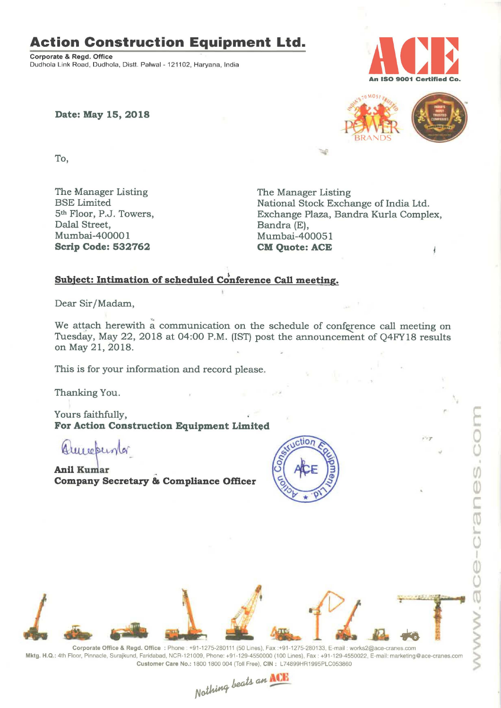### Action Construction Equipment Ltd.

Corporate & Regd. Office Dudhola Link Road, Dudhola, Distt. Palwal - 121102, Haryana, India



Date: May 15, 2018



 $577$ 

 $000$ 

 $\overline{\mathbb{Q}}$ 

To,

The Manager Listing<br>BSE Limited The Manager Listing<br>National Stock Excha Dalal Street, Bandra (E), Scrip Code: 532762

BSE Limited National Stock Exchange of India Ltd. 5<sup>th</sup> Floor, P.J. Towers, **Exchange Plaza, Bandra Kurla Complex**, Dalal Street. Mumbai-400051<br>CM Quote: ACE

#### Subject: Intimation of scheduled Conference Call meeting.

Dear Sir/Madam,

We attach herewith a communication on the schedule of conference call meeting on Tuesday, May 22, 2018 at 04:00 P.M. (IST) post the announcement of Q4FY18 results on May 21,2018.

This is for your information and record please.

Thanking You.

Yours faithfully, For Action Construction Equipment Limited

Americano

Anil Kumar ' Company Secretary & Compliance Officer



Corporate Office & Regd. Office: Phone: +91-1275-280111 (50 Lines), Fax :+91-1275-280133, E-mail: works2@ace-cranes.com Mktg. H.Q.: 4th Floor, Pinnacle, Surajkund, Faridabad, NCR-121009, Phone: +91-129-4550000 (100 Lines), Fax: +91-129-4550022, E-mail: marketing@ace-cranes.com Customer Care No.: 1800 1800 004 (Toll Free). CIN : L74899HR1995PL0053860

Nothing beats an ACE